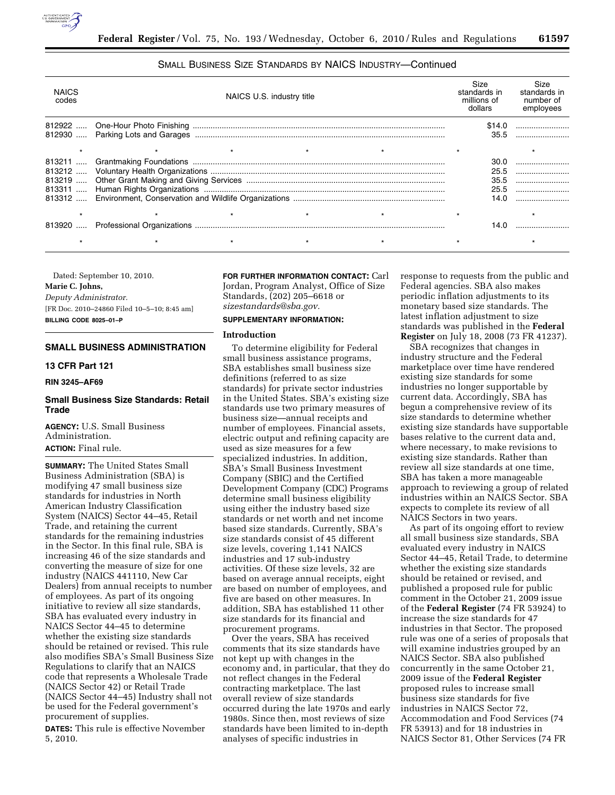

# SMALL BUSINESS SIZE STANDARDS BY NAICS INDUSTRY—Continued

| <b>NAICS</b><br>codes | NAICS U.S. industry title | Size<br>standards in<br>millions of<br>dollars | Size<br>standards in<br>number of<br>employees |
|-----------------------|---------------------------|------------------------------------------------|------------------------------------------------|
|                       |                           |                                                | \$14.0<br>35.5                                 |
|                       |                           |                                                |                                                |
|                       |                           |                                                | 30.0                                           |
|                       |                           |                                                | 25.5                                           |
|                       |                           |                                                | 35.5                                           |
|                       |                           |                                                | 25.5                                           |
|                       |                           |                                                | 14.0                                           |
|                       |                           |                                                |                                                |
|                       |                           |                                                | 14.0                                           |
|                       |                           |                                                |                                                |

Dated: September 10, 2010. **Marie C. Johns,**  *Deputy Administrator.* 

[FR Doc. 2010–24860 Filed 10–5–10; 8:45 am] **BILLING CODE 8025–01–P** 

### **SMALL BUSINESS ADMINISTRATION**

## **13 CFR Part 121**

#### **RIN 3245–AF69**

### **Small Business Size Standards: Retail Trade**

**AGENCY:** U.S. Small Business Administration. **ACTION:** Final rule.

**SUMMARY:** The United States Small Business Administration (SBA) is modifying 47 small business size standards for industries in North American Industry Classification System (NAICS) Sector 44–45, Retail Trade, and retaining the current standards for the remaining industries in the Sector. In this final rule, SBA is increasing 46 of the size standards and converting the measure of size for one industry (NAICS 441110, New Car Dealers) from annual receipts to number of employees. As part of its ongoing initiative to review all size standards, SBA has evaluated every industry in NAICS Sector 44–45 to determine whether the existing size standards should be retained or revised. This rule also modifies SBA's Small Business Size Regulations to clarify that an NAICS code that represents a Wholesale Trade (NAICS Sector 42) or Retail Trade (NAICS Sector 44–45) Industry shall not be used for the Federal government's procurement of supplies.

**DATES:** This rule is effective November 5, 2010.

**FOR FURTHER INFORMATION CONTACT:** Carl Jordan, Program Analyst, Office of Size Standards, (202) 205–6618 or *[sizestandards@sba.gov.](mailto:sizestandards@sba.gov)* 

#### **SUPPLEMENTARY INFORMATION:**

### **Introduction**

To determine eligibility for Federal small business assistance programs, SBA establishes small business size definitions (referred to as size standards) for private sector industries in the United States. SBA's existing size standards use two primary measures of business size—annual receipts and number of employees. Financial assets, electric output and refining capacity are used as size measures for a few specialized industries. In addition, SBA's Small Business Investment Company (SBIC) and the Certified Development Company (CDC) Programs determine small business eligibility using either the industry based size standards or net worth and net income based size standards. Currently, SBA's size standards consist of 45 different size levels, covering 1,141 NAICS industries and 17 sub-industry activities. Of these size levels, 32 are based on average annual receipts, eight are based on number of employees, and five are based on other measures. In addition, SBA has established 11 other size standards for its financial and procurement programs.

Over the years, SBA has received comments that its size standards have not kept up with changes in the economy and, in particular, that they do not reflect changes in the Federal contracting marketplace. The last overall review of size standards occurred during the late 1970s and early 1980s. Since then, most reviews of size standards have been limited to in-depth analyses of specific industries in

response to requests from the public and Federal agencies. SBA also makes periodic inflation adjustments to its monetary based size standards. The latest inflation adjustment to size standards was published in the **Federal Register** on July 18, 2008 (73 FR 41237).

SBA recognizes that changes in industry structure and the Federal marketplace over time have rendered existing size standards for some industries no longer supportable by current data. Accordingly, SBA has begun a comprehensive review of its size standards to determine whether existing size standards have supportable bases relative to the current data and, where necessary, to make revisions to existing size standards. Rather than review all size standards at one time, SBA has taken a more manageable approach to reviewing a group of related industries within an NAICS Sector. SBA expects to complete its review of all NAICS Sectors in two years.

As part of its ongoing effort to review all small business size standards, SBA evaluated every industry in NAICS Sector 44–45, Retail Trade, to determine whether the existing size standards should be retained or revised, and published a proposed rule for public comment in the October 21, 2009 issue of the **Federal Register** (74 FR 53924) to increase the size standards for 47 industries in that Sector. The proposed rule was one of a series of proposals that will examine industries grouped by an NAICS Sector. SBA also published concurrently in the same October 21, 2009 issue of the **Federal Register**  proposed rules to increase small business size standards for five industries in NAICS Sector 72, Accommodation and Food Services (74 FR 53913) and for 18 industries in NAICS Sector 81, Other Services (74 FR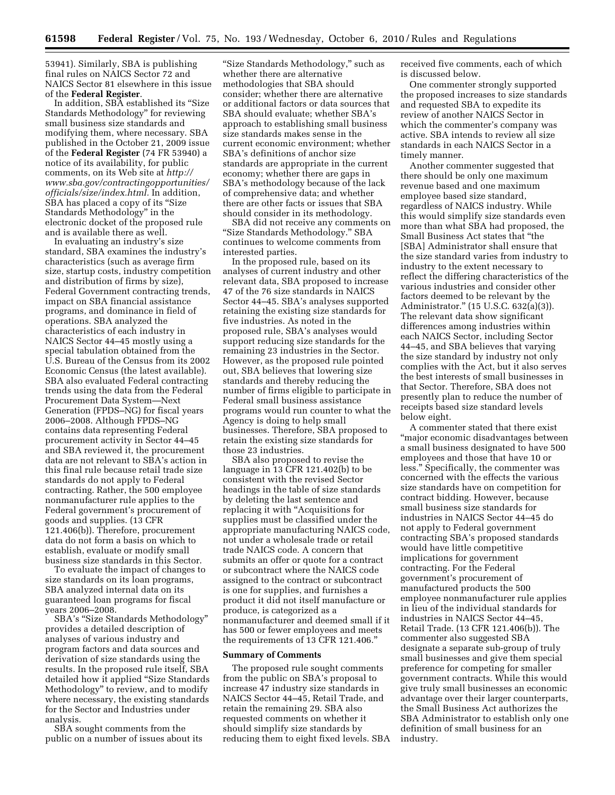53941). Similarly, SBA is publishing final rules on NAICS Sector 72 and NAICS Sector 81 elsewhere in this issue of the **Federal Register**.

In addition, SBA established its ''Size Standards Methodology'' for reviewing small business size standards and modifying them, where necessary. SBA published in the October 21, 2009 issue of the **Federal Register** (74 FR 53940) a notice of its availability, for public comments, on its Web site at *[http://](http://www.sba.gov/contractingopportunities/officials/size/index.html) [www.sba.gov/contractingopportunities/](http://www.sba.gov/contractingopportunities/officials/size/index.html) [officials/size/index.html.](http://www.sba.gov/contractingopportunities/officials/size/index.html)* In addition, SBA has placed a copy of its "Size Standards Methodology'' in the electronic docket of the proposed rule and is available there as well.

In evaluating an industry's size standard, SBA examines the industry's characteristics (such as average firm size, startup costs, industry competition and distribution of firms by size), Federal Government contracting trends, impact on SBA financial assistance programs, and dominance in field of operations. SBA analyzed the characteristics of each industry in NAICS Sector 44–45 mostly using a special tabulation obtained from the U.S. Bureau of the Census from its 2002 Economic Census (the latest available). SBA also evaluated Federal contracting trends using the data from the Federal Procurement Data System—Next Generation (FPDS–NG) for fiscal years 2006–2008. Although FPDS–NG contains data representing Federal procurement activity in Sector 44–45 and SBA reviewed it, the procurement data are not relevant to SBA's action in this final rule because retail trade size standards do not apply to Federal contracting. Rather, the 500 employee nonmanufacturer rule applies to the Federal government's procurement of goods and supplies. (13 CFR 121.406(b)). Therefore, procurement data do not form a basis on which to establish, evaluate or modify small business size standards in this Sector.

To evaluate the impact of changes to size standards on its loan programs, SBA analyzed internal data on its guaranteed loan programs for fiscal years 2006–2008.

SBA's ''Size Standards Methodology'' provides a detailed description of analyses of various industry and program factors and data sources and derivation of size standards using the results. In the proposed rule itself, SBA detailed how it applied ''Size Standards Methodology'' to review, and to modify where necessary, the existing standards for the Sector and Industries under analysis.

SBA sought comments from the public on a number of issues about its

''Size Standards Methodology,'' such as whether there are alternative methodologies that SBA should consider; whether there are alternative or additional factors or data sources that SBA should evaluate; whether SBA's approach to establishing small business size standards makes sense in the current economic environment; whether SBA's definitions of anchor size standards are appropriate in the current economy; whether there are gaps in SBA's methodology because of the lack of comprehensive data; and whether there are other facts or issues that SBA should consider in its methodology.

SBA did not receive any comments on "Size Standards Methodology." SBA continues to welcome comments from interested parties.

In the proposed rule, based on its analyses of current industry and other relevant data, SBA proposed to increase 47 of the 76 size standards in NAICS Sector 44–45. SBA's analyses supported retaining the existing size standards for five industries. As noted in the proposed rule, SBA's analyses would support reducing size standards for the remaining 23 industries in the Sector. However, as the proposed rule pointed out, SBA believes that lowering size standards and thereby reducing the number of firms eligible to participate in Federal small business assistance programs would run counter to what the Agency is doing to help small businesses. Therefore, SBA proposed to retain the existing size standards for those 23 industries.

SBA also proposed to revise the language in 13 CFR 121.402(b) to be consistent with the revised Sector headings in the table of size standards by deleting the last sentence and replacing it with ''Acquisitions for supplies must be classified under the appropriate manufacturing NAICS code, not under a wholesale trade or retail trade NAICS code. A concern that submits an offer or quote for a contract or subcontract where the NAICS code assigned to the contract or subcontract is one for supplies, and furnishes a product it did not itself manufacture or produce, is categorized as a nonmanufacturer and deemed small if it has 500 or fewer employees and meets the requirements of 13 CFR 121.406.''

#### **Summary of Comments**

The proposed rule sought comments from the public on SBA's proposal to increase 47 industry size standards in NAICS Sector 44–45, Retail Trade, and retain the remaining 29. SBA also requested comments on whether it should simplify size standards by reducing them to eight fixed levels. SBA received five comments, each of which is discussed below.

One commenter strongly supported the proposed increases to size standards and requested SBA to expedite its review of another NAICS Sector in which the commenter's company was active. SBA intends to review all size standards in each NAICS Sector in a timely manner.

Another commenter suggested that there should be only one maximum revenue based and one maximum employee based size standard, regardless of NAICS industry. While this would simplify size standards even more than what SBA had proposed, the Small Business Act states that ''the [SBA] Administrator shall ensure that the size standard varies from industry to industry to the extent necessary to reflect the differing characteristics of the various industries and consider other factors deemed to be relevant by the Administrator.'' (15 U.S.C. 632(a)(3)). The relevant data show significant differences among industries within each NAICS Sector, including Sector 44–45, and SBA believes that varying the size standard by industry not only complies with the Act, but it also serves the best interests of small businesses in that Sector. Therefore, SBA does not presently plan to reduce the number of receipts based size standard levels below eight.

A commenter stated that there exist ''major economic disadvantages between a small business designated to have 500 employees and those that have 10 or less.'' Specifically, the commenter was concerned with the effects the various size standards have on competition for contract bidding. However, because small business size standards for industries in NAICS Sector 44–45 do not apply to Federal government contracting SBA's proposed standards would have little competitive implications for government contracting. For the Federal government's procurement of manufactured products the 500 employee nonmanufacturer rule applies in lieu of the individual standards for industries in NAICS Sector 44–45, Retail Trade. (13 CFR 121.406(b)). The commenter also suggested SBA designate a separate sub-group of truly small businesses and give them special preference for competing for smaller government contracts. While this would give truly small businesses an economic advantage over their larger counterparts, the Small Business Act authorizes the SBA Administrator to establish only one definition of small business for an industry.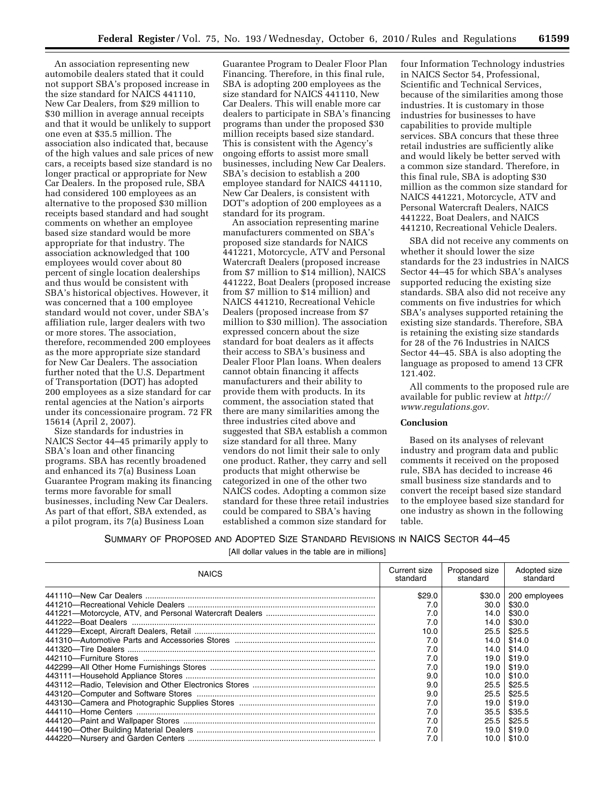An association representing new automobile dealers stated that it could not support SBA's proposed increase in the size standard for NAICS 441110, New Car Dealers, from \$29 million to \$30 million in average annual receipts and that it would be unlikely to support one even at \$35.5 million. The association also indicated that, because of the high values and sale prices of new cars, a receipts based size standard is no longer practical or appropriate for New Car Dealers. In the proposed rule, SBA had considered 100 employees as an alternative to the proposed \$30 million receipts based standard and had sought comments on whether an employee based size standard would be more appropriate for that industry. The association acknowledged that 100 employees would cover about 80 percent of single location dealerships and thus would be consistent with SBA's historical objectives. However, it was concerned that a 100 employee standard would not cover, under SBA's affiliation rule, larger dealers with two or more stores. The association, therefore, recommended 200 employees as the more appropriate size standard for New Car Dealers. The association further noted that the U.S. Department of Transportation (DOT) has adopted 200 employees as a size standard for car rental agencies at the Nation's airports under its concessionaire program. 72 FR 15614 (April 2, 2007).

Size standards for industries in NAICS Sector 44–45 primarily apply to SBA's loan and other financing programs. SBA has recently broadened and enhanced its 7(a) Business Loan Guarantee Program making its financing terms more favorable for small businesses, including New Car Dealers. As part of that effort, SBA extended, as a pilot program, its 7(a) Business Loan

Guarantee Program to Dealer Floor Plan Financing. Therefore, in this final rule, SBA is adopting 200 employees as the size standard for NAICS 441110, New Car Dealers. This will enable more car dealers to participate in SBA's financing programs than under the proposed \$30 million receipts based size standard. This is consistent with the Agency's ongoing efforts to assist more small businesses, including New Car Dealers. SBA's decision to establish a 200 employee standard for NAICS 441110, New Car Dealers, is consistent with DOT's adoption of 200 employees as a standard for its program.

An association representing marine manufacturers commented on SBA's proposed size standards for NAICS 441221, Motorcycle, ATV and Personal Watercraft Dealers (proposed increase from \$7 million to \$14 million), NAICS 441222, Boat Dealers (proposed increase from \$7 million to \$14 million) and NAICS 441210, Recreational Vehicle Dealers (proposed increase from \$7 million to \$30 million). The association expressed concern about the size standard for boat dealers as it affects their access to SBA's business and Dealer Floor Plan loans. When dealers cannot obtain financing it affects manufacturers and their ability to provide them with products. In its comment, the association stated that there are many similarities among the three industries cited above and suggested that SBA establish a common size standard for all three. Many vendors do not limit their sale to only one product. Rather, they carry and sell products that might otherwise be categorized in one of the other two NAICS codes. Adopting a common size standard for these three retail industries could be compared to SBA's having established a common size standard for

four Information Technology industries in NAICS Sector 54, Professional, Scientific and Technical Services, because of the similarities among those industries. It is customary in those industries for businesses to have capabilities to provide multiple services. SBA concurs that these three retail industries are sufficiently alike and would likely be better served with a common size standard. Therefore, in this final rule, SBA is adopting \$30 million as the common size standard for NAICS 441221, Motorcycle, ATV and Personal Watercraft Dealers, NAICS 441222, Boat Dealers, and NAICS 441210, Recreational Vehicle Dealers.

SBA did not receive any comments on whether it should lower the size standards for the 23 industries in NAICS Sector 44–45 for which SBA's analyses supported reducing the existing size standards. SBA also did not receive any comments on five industries for which SBA's analyses supported retaining the existing size standards. Therefore, SBA is retaining the existing size standards for 28 of the 76 Industries in NAICS Sector 44–45. SBA is also adopting the language as proposed to amend 13 CFR 121.402.

All comments to the proposed rule are available for public review at *[http://](http://www.regulations.gov) [www.regulations.gov.](http://www.regulations.gov)* 

### **Conclusion**

Based on its analyses of relevant industry and program data and public comments it received on the proposed rule, SBA has decided to increase 46 small business size standards and to convert the receipt based size standard to the employee based size standard for one industry as shown in the following table.

|  |  | SUMMARY OF PROPOSED AND ADOPTED SIZE STANDARD REVISIONS IN NAICS SECTOR 44-45 |
|--|--|-------------------------------------------------------------------------------|
|--|--|-------------------------------------------------------------------------------|

[All dollar values in the table are in millions]

| <b>NAICS</b> | Current size<br>standard | Proposed size<br>standard | Adopted size<br>standard   |
|--------------|--------------------------|---------------------------|----------------------------|
|              | \$29.0                   |                           | $$30.0 \mid 200$ employees |
|              | 7.0                      | 30.0                      | \$30.0                     |
|              | 7.0                      | 14.0                      | \$30.0                     |
|              | 7.0                      | 14.0                      | \$30.0                     |
|              | 10.0                     | 25.5                      | \$25.5                     |
|              | 7.0                      | 14.0                      | \$14.0                     |
|              | 7.0                      | 14.0                      | \$14.0                     |
|              | 7.0                      | 19.0                      | \$19.0                     |
|              | 7.0                      | 19.0                      | \$19.0                     |
|              | 9.0                      | 10.0                      | \$10.0                     |
|              | 9.0                      | 25.5                      | \$25.5                     |
|              | 9.0                      | 25.5                      | \$25.5                     |
|              | 7.0                      | 19.0                      | \$19.0                     |
|              | 7.0                      | 35.5                      | \$35.5                     |
|              | 7.0                      | 25.5                      | \$25.5                     |
|              | 7.0                      | 19.0                      | \$19.0                     |
|              | 7.0                      |                           | $10.0$   \$10.0            |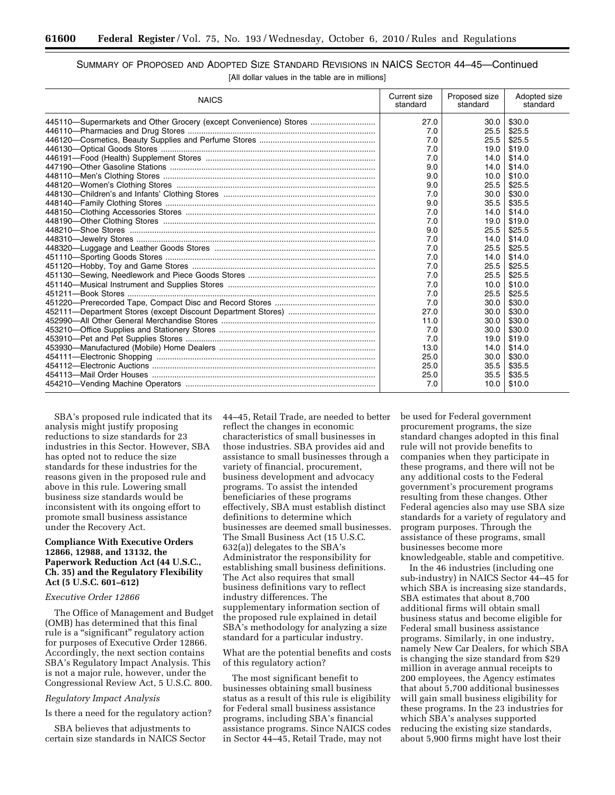# SUMMARY OF PROPOSED AND ADOPTED SIZE STANDARD REVISIONS IN NAICS SECTOR 44–45—Continued [All dollar values in the table are in millions]

| <b>NAICS</b>                                                      | Current size<br>standard | Proposed size<br>standard | Adopted size<br>standard |
|-------------------------------------------------------------------|--------------------------|---------------------------|--------------------------|
| 445110-Supermarkets and Other Grocery (except Convenience) Stores | 27.0                     | 30.0                      | \$30.0                   |
|                                                                   | 7.0                      | 25.5                      | \$25.5                   |
|                                                                   | 7.0                      | 25.5                      | \$25.5                   |
|                                                                   | 7.0                      | 19.0                      | \$19.0                   |
|                                                                   | 7.0                      | 14.0                      | \$14.0                   |
|                                                                   | 9.0                      | 14.0                      | \$14.0                   |
|                                                                   | 9.0                      | 10.0                      | \$10.0                   |
|                                                                   | 9.0                      | 25.5                      | \$25.5                   |
|                                                                   | 7.0                      | 30.0                      | \$30.0                   |
|                                                                   | 9.0                      | 35.5                      | \$35.5                   |
|                                                                   | 7.0                      | 14.0                      | \$14.0                   |
|                                                                   | 7.0                      | 19.0                      | \$19.0                   |
|                                                                   | 9.0                      | 25.5                      | \$25.5                   |
|                                                                   | 7.0                      | 14.0                      | \$14.0                   |
|                                                                   | 7.0                      | 25.5                      | \$25.5                   |
|                                                                   | 7.0                      | 14.0                      | \$14.0                   |
|                                                                   | 7.0                      | 25.5                      | \$25.5                   |
|                                                                   | 7.0                      | 25.5                      | \$25.5                   |
|                                                                   | 7.0                      | 10.0                      | \$10.0                   |
|                                                                   | 7.0                      | 25.5                      | \$25.5                   |
|                                                                   | 7.0                      | 30.0                      | \$30.0                   |
|                                                                   | 27.0                     | 30.0                      | \$30.0                   |
|                                                                   | 11.0                     | 30.0                      | \$30.0                   |
|                                                                   | 7.0                      | 30.0                      | \$30.0                   |
|                                                                   | 7.0                      | 19.0                      | \$19.0                   |
|                                                                   | 13.0                     | 14.0                      | \$14.0                   |
|                                                                   | 25.0                     | 30.0                      | \$30.0                   |
|                                                                   | 25.0                     | 35.5                      | \$35.5                   |
|                                                                   | 25.0                     | 35.5                      | \$35.5                   |
|                                                                   | 7.0                      | 10.0                      | \$10.0                   |

SBA's proposed rule indicated that its analysis might justify proposing reductions to size standards for 23 industries in this Sector. However, SBA has opted not to reduce the size standards for these industries for the reasons given in the proposed rule and above in this rule. Lowering small business size standards would be inconsistent with its ongoing effort to promote small business assistance under the Recovery Act.

### **Compliance With Executive Orders 12866, 12988, and 13132, the Paperwork Reduction Act (44 U.S.C., Ch. 35) and the Regulatory Flexibility Act (5 U.S.C. 601–612)**

### *Executive Order 12866*

The Office of Management and Budget (OMB) has determined that this final rule is a "significant" regulatory action for purposes of Executive Order 12866. Accordingly, the next section contains SBA's Regulatory Impact Analysis. This is not a major rule, however, under the Congressional Review Act, 5 U.S.C. 800.

#### *Regulatory Impact Analysis*

Is there a need for the regulatory action?

SBA believes that adjustments to certain size standards in NAICS Sector 44–45, Retail Trade, are needed to better reflect the changes in economic characteristics of small businesses in those industries. SBA provides aid and assistance to small businesses through a variety of financial, procurement, business development and advocacy programs. To assist the intended beneficiaries of these programs effectively, SBA must establish distinct definitions to determine which businesses are deemed small businesses. The Small Business Act (15 U.S.C. 632(a)) delegates to the SBA's Administrator the responsibility for establishing small business definitions. The Act also requires that small business definitions vary to reflect industry differences. The supplementary information section of the proposed rule explained in detail SBA's methodology for analyzing a size standard for a particular industry.

What are the potential benefits and costs of this regulatory action?

The most significant benefit to businesses obtaining small business status as a result of this rule is eligibility for Federal small business assistance programs, including SBA's financial assistance programs. Since NAICS codes in Sector 44–45, Retail Trade, may not

be used for Federal government procurement programs, the size standard changes adopted in this final rule will not provide benefits to companies when they participate in these programs, and there will not be any additional costs to the Federal government's procurement programs resulting from these changes. Other Federal agencies also may use SBA size standards for a variety of regulatory and program purposes. Through the assistance of these programs, small businesses become more knowledgeable, stable and competitive.

In the 46 industries (including one sub-industry) in NAICS Sector 44–45 for which SBA is increasing size standards, SBA estimates that about 8,700 additional firms will obtain small business status and become eligible for Federal small business assistance programs. Similarly, in one industry, namely New Car Dealers, for which SBA is changing the size standard from \$29 million in average annual receipts to 200 employees, the Agency estimates that about 5,700 additional businesses will gain small business eligibility for these programs. In the 23 industries for which SBA's analyses supported reducing the existing size standards, about 5,900 firms might have lost their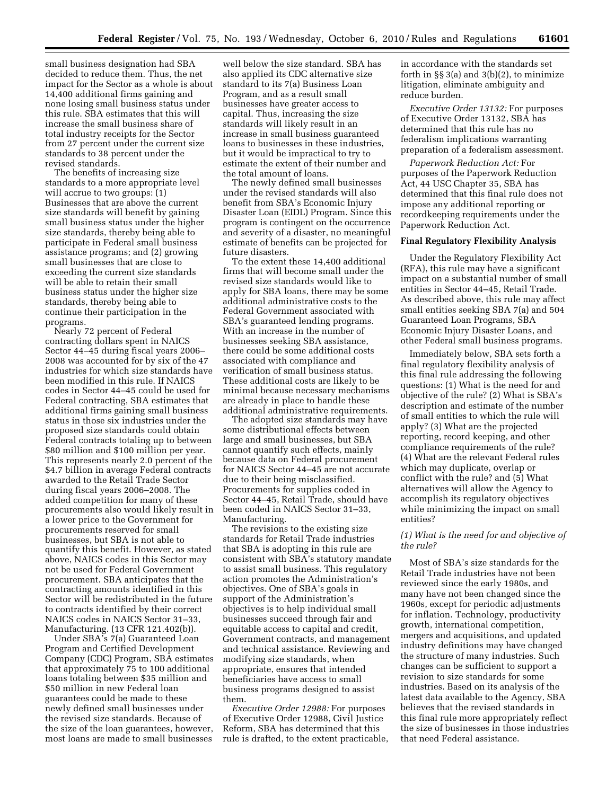small business designation had SBA decided to reduce them. Thus, the net impact for the Sector as a whole is about 14,400 additional firms gaining and none losing small business status under this rule. SBA estimates that this will increase the small business share of total industry receipts for the Sector from 27 percent under the current size standards to 38 percent under the revised standards.

The benefits of increasing size standards to a more appropriate level will accrue to two groups: (1) Businesses that are above the current size standards will benefit by gaining small business status under the higher size standards, thereby being able to participate in Federal small business assistance programs; and (2) growing small businesses that are close to exceeding the current size standards will be able to retain their small business status under the higher size standards, thereby being able to continue their participation in the programs.

Nearly 72 percent of Federal contracting dollars spent in NAICS Sector 44–45 during fiscal years 2006– 2008 was accounted for by six of the 47 industries for which size standards have been modified in this rule. If NAICS codes in Sector 44–45 could be used for Federal contracting, SBA estimates that additional firms gaining small business status in those six industries under the proposed size standards could obtain Federal contracts totaling up to between \$80 million and \$100 million per year. This represents nearly 2.0 percent of the \$4.7 billion in average Federal contracts awarded to the Retail Trade Sector during fiscal years 2006–2008. The added competition for many of these procurements also would likely result in a lower price to the Government for procurements reserved for small businesses, but SBA is not able to quantify this benefit. However, as stated above, NAICS codes in this Sector may not be used for Federal Government procurement. SBA anticipates that the contracting amounts identified in this Sector will be redistributed in the future to contracts identified by their correct NAICS codes in NAICS Sector 31–33, Manufacturing. (13 CFR 121.402(b)).

Under SBA's 7(a) Guaranteed Loan Program and Certified Development Company (CDC) Program, SBA estimates that approximately 75 to 100 additional loans totaling between \$35 million and \$50 million in new Federal loan guarantees could be made to these newly defined small businesses under the revised size standards. Because of the size of the loan guarantees, however, most loans are made to small businesses

well below the size standard. SBA has also applied its CDC alternative size standard to its 7(a) Business Loan Program, and as a result small businesses have greater access to capital. Thus, increasing the size standards will likely result in an increase in small business guaranteed loans to businesses in these industries, but it would be impractical to try to estimate the extent of their number and the total amount of loans.

The newly defined small businesses under the revised standards will also benefit from SBA's Economic Injury Disaster Loan (EIDL) Program. Since this program is contingent on the occurrence and severity of a disaster, no meaningful estimate of benefits can be projected for future disasters.

To the extent these 14,400 additional firms that will become small under the revised size standards would like to apply for SBA loans, there may be some additional administrative costs to the Federal Government associated with SBA's guaranteed lending programs. With an increase in the number of businesses seeking SBA assistance, there could be some additional costs associated with compliance and verification of small business status. These additional costs are likely to be minimal because necessary mechanisms are already in place to handle these additional administrative requirements.

The adopted size standards may have some distributional effects between large and small businesses, but SBA cannot quantify such effects, mainly because data on Federal procurement for NAICS Sector 44–45 are not accurate due to their being misclassified. Procurements for supplies coded in Sector 44–45, Retail Trade, should have been coded in NAICS Sector 31–33, Manufacturing.

The revisions to the existing size standards for Retail Trade industries that SBA is adopting in this rule are consistent with SBA's statutory mandate to assist small business. This regulatory action promotes the Administration's objectives. One of SBA's goals in support of the Administration's objectives is to help individual small businesses succeed through fair and equitable access to capital and credit, Government contracts, and management and technical assistance. Reviewing and modifying size standards, when appropriate, ensures that intended beneficiaries have access to small business programs designed to assist them.

*Executive Order 12988:* For purposes of Executive Order 12988, Civil Justice Reform, SBA has determined that this rule is drafted, to the extent practicable, in accordance with the standards set forth in  $\S$ § 3(a) and 3(b)(2), to minimize litigation, eliminate ambiguity and reduce burden.

*Executive Order 13132:* For purposes of Executive Order 13132, SBA has determined that this rule has no federalism implications warranting preparation of a federalism assessment.

*Paperwork Reduction Act:* For purposes of the Paperwork Reduction Act, 44 USC Chapter 35, SBA has determined that this final rule does not impose any additional reporting or recordkeeping requirements under the Paperwork Reduction Act.

#### **Final Regulatory Flexibility Analysis**

Under the Regulatory Flexibility Act (RFA), this rule may have a significant impact on a substantial number of small entities in Sector 44–45, Retail Trade. As described above, this rule may affect small entities seeking SBA 7(a) and 504 Guaranteed Loan Programs, SBA Economic Injury Disaster Loans, and other Federal small business programs.

Immediately below, SBA sets forth a final regulatory flexibility analysis of this final rule addressing the following questions: (1) What is the need for and objective of the rule? (2) What is SBA's description and estimate of the number of small entities to which the rule will apply? (3) What are the projected reporting, record keeping, and other compliance requirements of the rule? (4) What are the relevant Federal rules which may duplicate, overlap or conflict with the rule? and (5) What alternatives will allow the Agency to accomplish its regulatory objectives while minimizing the impact on small entities?

## *(1) What is the need for and objective of the rule?*

Most of SBA's size standards for the Retail Trade industries have not been reviewed since the early 1980s, and many have not been changed since the 1960s, except for periodic adjustments for inflation. Technology, productivity growth, international competition, mergers and acquisitions, and updated industry definitions may have changed the structure of many industries. Such changes can be sufficient to support a revision to size standards for some industries. Based on its analysis of the latest data available to the Agency, SBA believes that the revised standards in this final rule more appropriately reflect the size of businesses in those industries that need Federal assistance.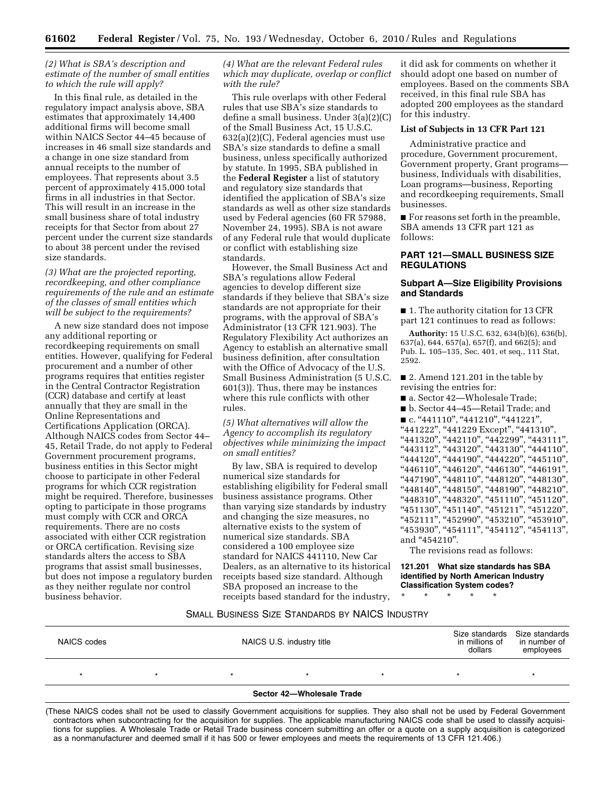### *(2) What is SBA's description and estimate of the number of small entities to which the rule will apply?*

In this final rule, as detailed in the regulatory impact analysis above, SBA estimates that approximately 14,400 additional firms will become small within NAICS Sector 44–45 because of increases in 46 small size standards and a change in one size standard from annual receipts to the number of employees. That represents about 3.5 percent of approximately 415,000 total firms in all industries in that Sector. This will result in an increase in the small business share of total industry receipts for that Sector from about 27 percent under the current size standards to about 38 percent under the revised size standards.

### *(3) What are the projected reporting, recordkeeping, and other compliance requirements of the rule and an estimate of the classes of small entities which will be subject to the requirements?*

A new size standard does not impose any additional reporting or recordkeeping requirements on small entities. However, qualifying for Federal procurement and a number of other programs requires that entities register in the Central Contractor Registration (CCR) database and certify at least annually that they are small in the Online Representations and Certifications Application (ORCA). Although NAICS codes from Sector 44– 45, Retail Trade, do not apply to Federal Government procurement programs, business entities in this Sector might choose to participate in other Federal programs for which CCR registration might be required. Therefore, businesses opting to participate in those programs must comply with CCR and ORCA requirements. There are no costs associated with either CCR registration or ORCA certification. Revising size standards alters the access to SBA programs that assist small businesses, but does not impose a regulatory burden as they neither regulate nor control business behavior.

### *(4) What are the relevant Federal rules which may duplicate, overlap or conflict with the rule?*

This rule overlaps with other Federal rules that use SBA's size standards to define a small business. Under 3(a)(2)(C) of the Small Business Act, 15 U.S.C. 632(a)(2)(C), Federal agencies must use SBA's size standards to define a small business, unless specifically authorized by statute. In 1995, SBA published in the **Federal Register** a list of statutory and regulatory size standards that identified the application of SBA's size standards as well as other size standards used by Federal agencies (60 FR 57988, November 24, 1995). SBA is not aware of any Federal rule that would duplicate or conflict with establishing size standards.

However, the Small Business Act and SBA's regulations allow Federal agencies to develop different size standards if they believe that SBA's size standards are not appropriate for their programs, with the approval of SBA's Administrator (13 CFR 121.903). The Regulatory Flexibility Act authorizes an Agency to establish an alternative small business definition, after consultation with the Office of Advocacy of the U.S. Small Business Administration (5 U.S.C. 601(3)). Thus, there may be instances where this rule conflicts with other rules.

*(5) What alternatives will allow the Agency to accomplish its regulatory objectives while minimizing the impact on small entities?* 

By law, SBA is required to develop numerical size standards for establishing eligibility for Federal small business assistance programs. Other than varying size standards by industry and changing the size measures, no alternative exists to the system of numerical size standards. SBA considered a 100 employee size standard for NAICS 441110, New Car Dealers, as an alternative to its historical receipts based size standard. Although SBA proposed an increase to the receipts based standard for the industry,

it did ask for comments on whether it should adopt one based on number of employees. Based on the comments SBA received, in this final rule SBA has adopted 200 employees as the standard for this industry.

### **List of Subjects in 13 CFR Part 121**

Administrative practice and procedure, Government procurement, Government property, Grant programs business, Individuals with disabilities, Loan programs—business, Reporting and recordkeeping requirements, Small businesses.

■ For reasons set forth in the preamble, SBA amends 13 CFR part 121 as follows:

## **PART 121—SMALL BUSINESS SIZE REGULATIONS**

#### **Subpart A—Size Eligibility Provisions and Standards**

■ 1. The authority citation for 13 CFR part 121 continues to read as follows:

**Authority:** 15 U.S.C. 632, 634(b)(6), 636(b), 637(a), 644, 657(a), 657(f), and 662(5); and Pub. L. 105–135, Sec. 401, et seq., 111 Stat, 2592.

■ 2. Amend 121.201 in the table by revising the entries for:

■ a. Sector 42—Wholesale Trade;

■ b. Sector 44–45—Retail Trade; and

■ c. "441110", "441210", "441221",

''441222'', ''441229 Except'', ''441310'', "441320", "442110", "442299", "443111", "443112", "443120", "443130", "444110", "+10112", "110120", "110100", "111110", "444120", "445110" "+446110", "446120", "446130", "446191" "447190", "448110", "448120", "448130", "448140", "448150", "448190", "448210", "448310", "448320", "451110", "451120", ''451130'', ''451140'', ''451211'', ''451220'', "452111", "452990", "453210", "453910", "453930", "454111", "454112", "454113", and "454210".

The revisions read as follows:

**121.201 What size standards has SBA identified by North American Industry Classification System codes?** 

\* \* \* \* \*

## SMALL BUSINESS SIZE STANDARDS BY NAICS INDUSTRY

| NAICS codes               | NAICS U.S. industry title |         |  | in millions of<br>dollars | Size standards Size standards<br>in number of<br>employees |   |
|---------------------------|---------------------------|---------|--|---------------------------|------------------------------------------------------------|---|
|                           |                           | $\star$ |  |                           |                                                            | × |
| Sector 42-Wholesale Trade |                           |         |  |                           |                                                            |   |

(These NAICS codes shall not be used to classify Government acquisitions for supplies. They also shall not be used by Federal Government contractors when subcontracting for the acquisition for supplies. The applicable manufacturing NAICS code shall be used to classify acquisitions for supplies. A Wholesale Trade or Retail Trade business concern submitting an offer or a quote on a supply acquisition is categorized as a nonmanufacturer and deemed small if it has 500 or fewer employees and meets the requirements of 13 CFR 121.406.)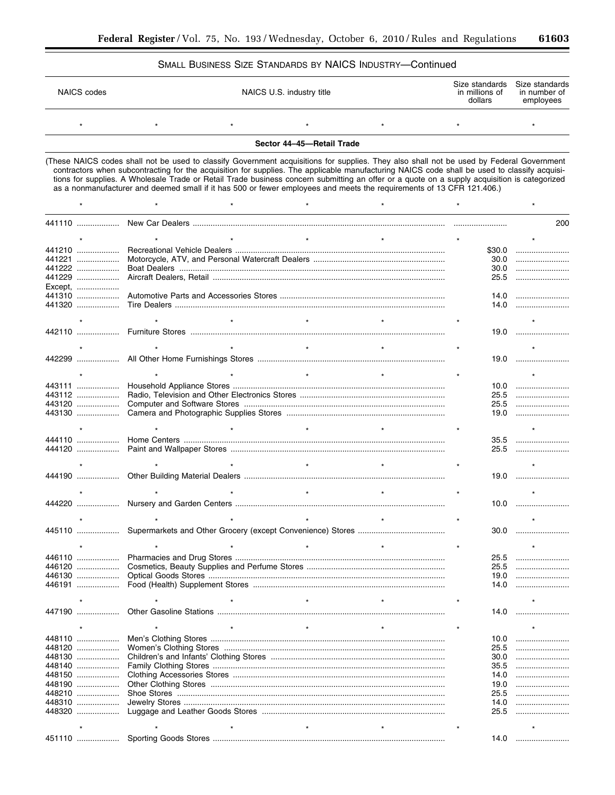$\star$ 

 $\star$ 

## SMALL BUSINESS SIZE STANDARDS BY NAICS INDUSTRY-Continued

| NAICS codes |  | NAICS U.S. industry title |  |  | Size standards Size standards<br>in number of<br>employees |
|-------------|--|---------------------------|--|--|------------------------------------------------------------|
|             |  |                           |  |  |                                                            |

Sector 44-45-Retail Trade

(These NAICS codes shall not be used to classify Government acquisitions for supplies. They also shall not be used by Federal Government contractors when subcontracting for the acquisition for supplies. The applicable manufacturing NAICS code shall be used to classify acquisitions for supplies. A Wholesale Trade or Retail Trade business concern submitting an offer or a quote on a supply acquisition is categorized as a nonmanufacturer and deemed small if it has 500 or fewer employees and meets the requirements of 13 CFR 121.406.)

 $\star$ 

|         |         |        | 200  |
|---------|---------|--------|------|
|         |         |        |      |
| 441210  |         | \$30.0 |      |
|         |         |        |      |
| 441221  |         | 30.0   |      |
| 441222  |         | 30.0   |      |
| 441229  |         | 25.5   |      |
| Except, |         |        |      |
| 441310  |         | 14.0   |      |
| 441320  |         | 14.0   |      |
|         |         |        |      |
|         | $\star$ |        |      |
|         |         |        | 19.0 |
|         |         |        |      |
|         |         |        |      |
| 442299  |         |        | 19.0 |
|         |         |        |      |
|         | $\star$ |        |      |
| 443111  |         | 10.0   |      |
| 443112  |         | 25.5   |      |
| 443120  |         | 25.5   |      |
| 443130  |         | 19.0   |      |
|         |         |        |      |
|         |         |        |      |
| 444110  |         |        |      |
|         |         | 35.5   |      |
| 444120  |         |        | 25.5 |
|         |         |        |      |
|         |         |        | 19.0 |
|         |         |        |      |
|         | $\star$ |        |      |
|         |         |        | 10.0 |
|         |         |        |      |
|         | $\star$ |        |      |
|         |         |        | 30.0 |
|         |         |        |      |
|         |         |        |      |
| 446110  |         | 25.5   |      |
| 446120  |         | 25.5   |      |
|         |         |        |      |
| 446130  |         | 19.0   |      |
| 446191  |         | 14.0   |      |
|         |         |        |      |
|         |         |        |      |
| 447190  |         |        | 14.0 |
|         | $\star$ |        |      |
| 448110  |         | 10.0   |      |
|         |         |        |      |
| 448120  |         | 25.5   |      |
|         |         |        | 30.0 |
| 448140  |         | 35.5   |      |
| 448150  |         | 14.0   |      |
| 448190  |         | 19.0   |      |
|         |         |        |      |
| 448210  |         | 25.5   |      |
| 448310  |         | 14.0   |      |
| 448320  |         | 25.5   |      |
|         |         |        |      |
|         |         |        |      |
| 451110  |         | 14.0   |      |
|         |         |        |      |